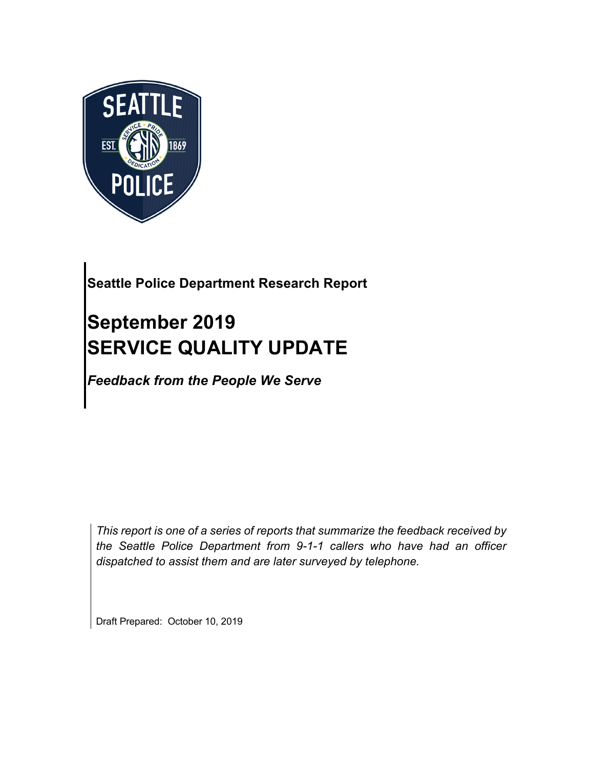

## **Seattle Police Department Research Report**

# **September 2019 SERVICE QUALITY UPDATE**

*Feedback from the People We Serve*

*This report is one of a series of reports that summarize the feedback received by the Seattle Police Department from 9-1-1 callers who have had an officer dispatched to assist them and are later surveyed by telephone.*

Draft Prepared: October 10, 2019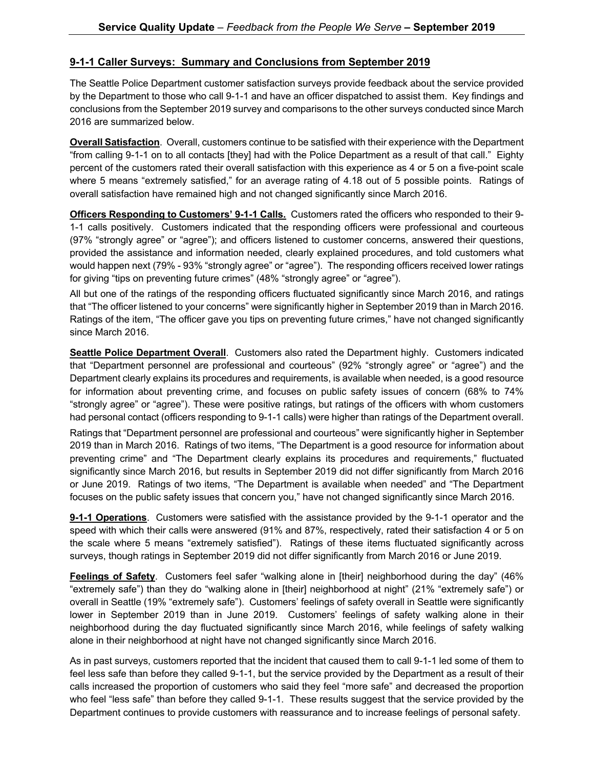#### **9-1-1 Caller Surveys: Summary and Conclusions from September 2019**

The Seattle Police Department customer satisfaction surveys provide feedback about the service provided by the Department to those who call 9-1-1 and have an officer dispatched to assist them. Key findings and conclusions from the September 2019 survey and comparisons to the other surveys conducted since March 2016 are summarized below.

**Overall Satisfaction**. Overall, customers continue to be satisfied with their experience with the Department "from calling 9-1-1 on to all contacts [they] had with the Police Department as a result of that call." Eighty percent of the customers rated their overall satisfaction with this experience as 4 or 5 on a five-point scale where 5 means "extremely satisfied," for an average rating of 4.18 out of 5 possible points. Ratings of overall satisfaction have remained high and not changed significantly since March 2016.

**Officers Responding to Customers' 9-1-1 Calls.** Customers rated the officers who responded to their 9- 1-1 calls positively. Customers indicated that the responding officers were professional and courteous (97% "strongly agree" or "agree"); and officers listened to customer concerns, answered their questions, provided the assistance and information needed, clearly explained procedures, and told customers what would happen next (79% - 93% "strongly agree" or "agree"). The responding officers received lower ratings for giving "tips on preventing future crimes" (48% "strongly agree" or "agree").

All but one of the ratings of the responding officers fluctuated significantly since March 2016, and ratings that "The officer listened to your concerns" were significantly higher in September 2019 than in March 2016. Ratings of the item, "The officer gave you tips on preventing future crimes," have not changed significantly since March 2016.

**Seattle Police Department Overall**. Customers also rated the Department highly. Customers indicated that "Department personnel are professional and courteous" (92% "strongly agree" or "agree") and the Department clearly explains its procedures and requirements, is available when needed, is a good resource for information about preventing crime, and focuses on public safety issues of concern (68% to 74% "strongly agree" or "agree"). These were positive ratings, but ratings of the officers with whom customers had personal contact (officers responding to 9-1-1 calls) were higher than ratings of the Department overall.

Ratings that "Department personnel are professional and courteous" were significantly higher in September 2019 than in March 2016. Ratings of two items, "The Department is a good resource for information about preventing crime" and "The Department clearly explains its procedures and requirements," fluctuated significantly since March 2016, but results in September 2019 did not differ significantly from March 2016 or June 2019. Ratings of two items, "The Department is available when needed" and "The Department focuses on the public safety issues that concern you," have not changed significantly since March 2016.

**9-1-1 Operations**. Customers were satisfied with the assistance provided by the 9-1-1 operator and the speed with which their calls were answered (91% and 87%, respectively, rated their satisfaction 4 or 5 on the scale where 5 means "extremely satisfied"). Ratings of these items fluctuated significantly across surveys, though ratings in September 2019 did not differ significantly from March 2016 or June 2019.

**Feelings of Safety**. Customers feel safer "walking alone in [their] neighborhood during the day" (46% "extremely safe") than they do "walking alone in [their] neighborhood at night" (21% "extremely safe") or overall in Seattle (19% "extremely safe"). Customers' feelings of safety overall in Seattle were significantly lower in September 2019 than in June 2019. Customers' feelings of safety walking alone in their neighborhood during the day fluctuated significantly since March 2016, while feelings of safety walking alone in their neighborhood at night have not changed significantly since March 2016.

As in past surveys, customers reported that the incident that caused them to call 9-1-1 led some of them to feel less safe than before they called 9-1-1, but the service provided by the Department as a result of their calls increased the proportion of customers who said they feel "more safe" and decreased the proportion who feel "less safe" than before they called 9-1-1. These results suggest that the service provided by the Department continues to provide customers with reassurance and to increase feelings of personal safety.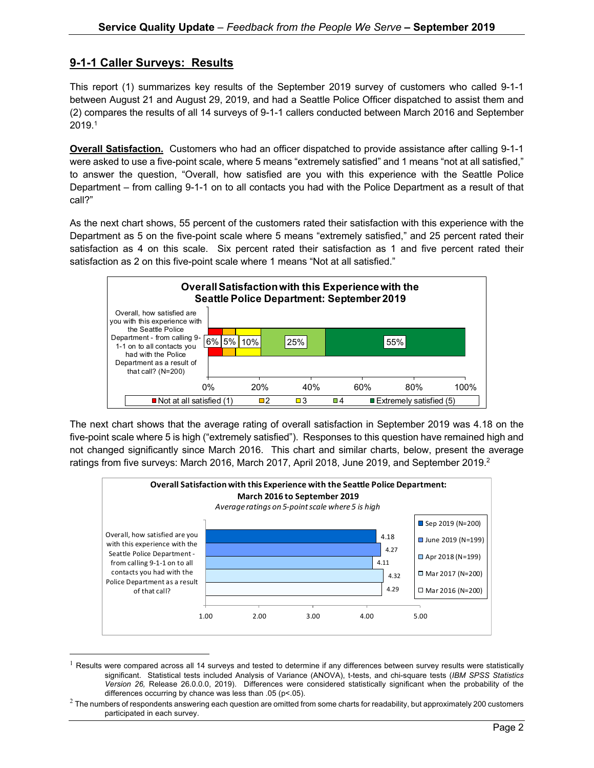#### **9-1-1 Caller Surveys: Results**

This report (1) summarizes key results of the September 2019 survey of customers who called 9-1-1 between August 21 and August 29, 2019, and had a Seattle Police Officer dispatched to assist them and (2) compares the results of all 14 surveys of 9-1-1 callers conducted between March 2016 and September  $2019.<sup>1</sup>$ 

**Overall Satisfaction.** Customers who had an officer dispatched to provide assistance after calling 9-1-1 were asked to use a five-point scale, where 5 means "extremely satisfied" and 1 means "not at all satisfied," to answer the question, "Overall, how satisfied are you with this experience with the Seattle Police Department – from calling 9-1-1 on to all contacts you had with the Police Department as a result of that call?"

As the next chart shows, 55 percent of the customers rated their satisfaction with this experience with the Department as 5 on the five-point scale where 5 means "extremely satisfied," and 25 percent rated their satisfaction as 4 on this scale. Six percent rated their satisfaction as 1 and five percent rated their satisfaction as 2 on this five-point scale where 1 means "Not at all satisfied."



The next chart shows that the average rating of overall satisfaction in September 2019 was 4.18 on the five-point scale where 5 is high ("extremely satisfied"). Responses to this question have remained high and not changed significantly since March 2016. This chart and similar charts, below, present the average ratings from five surveys: March 2016, March 2017, April 2018, June 2019, and September 2019.<sup>2</sup>



 $1$  Results were compared across all 14 surveys and tested to determine if any differences between survey results were statistically significant. Statistical tests included Analysis of Variance (ANOVA), t-tests, and chi-square tests (*IBM SPSS Statistics Version 26,* Release 26.0.0.0, 2019). Differences were considered statistically significant when the probability of the differences occurring by chance was less than .05 (p<.05).

 $2$  The numbers of respondents answering each question are omitted from some charts for readability, but approximately 200 customers participated in each survey.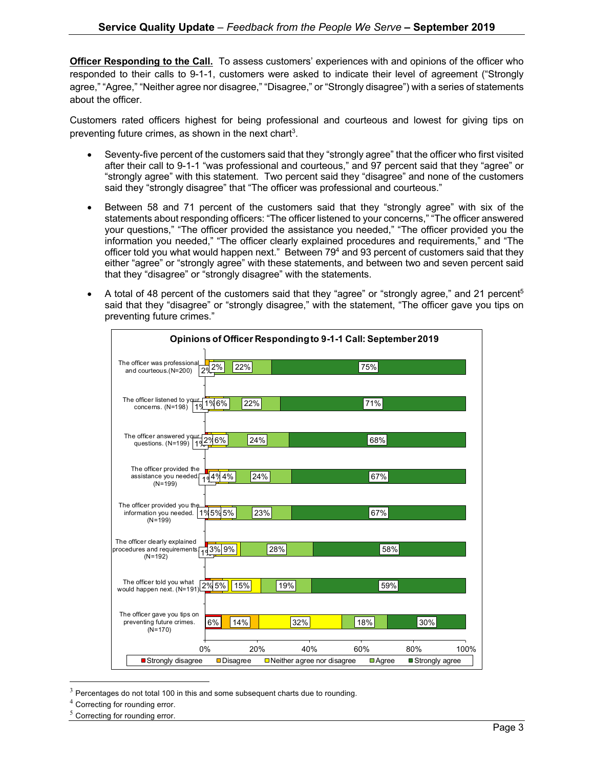**Officer Responding to the Call.** To assess customers' experiences with and opinions of the officer who responded to their calls to 9-1-1, customers were asked to indicate their level of agreement ("Strongly agree," "Agree," "Neither agree nor disagree," "Disagree," or "Strongly disagree") with a series of statements about the officer.

Customers rated officers highest for being professional and courteous and lowest for giving tips on preventing future crimes, as shown in the next chart<sup>3</sup>.

- Seventy-five percent of the customers said that they "strongly agree" that the officer who first visited after their call to 9-1-1 "was professional and courteous," and 97 percent said that they "agree" or "strongly agree" with this statement. Two percent said they "disagree" and none of the customers said they "strongly disagree" that "The officer was professional and courteous."
- Between 58 and 71 percent of the customers said that they "strongly agree" with six of the statements about responding officers: "The officer listened to your concerns," "The officer answered your questions," "The officer provided the assistance you needed," "The officer provided you the information you needed," "The officer clearly explained procedures and requirements," and "The officer told you what would happen next." Between 79<sup>4</sup> and 93 percent of customers said that they either "agree" or "strongly agree" with these statements, and between two and seven percent said that they "disagree" or "strongly disagree" with the statements.
- A total of 48 percent of the customers said that they "agree" or "strongly agree," and 21 percent<sup>5</sup> said that they "disagree" or "strongly disagree," with the statement, "The officer gave you tips on preventing future crimes."



 $3$  Percentages do not total 100 in this and some subsequent charts due to rounding.

<sup>4</sup> Correcting for rounding error.

 $5$  Correcting for rounding error.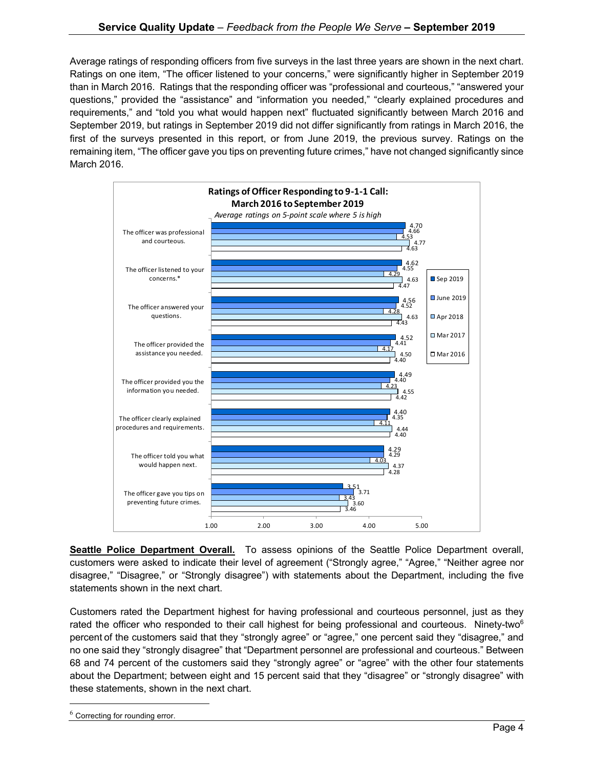Average ratings of responding officers from five surveys in the last three years are shown in the next chart. Ratings on one item, "The officer listened to your concerns," were significantly higher in September 2019 than in March 2016. Ratings that the responding officer was "professional and courteous," "answered your questions," provided the "assistance" and "information you needed," "clearly explained procedures and requirements," and "told you what would happen next" fluctuated significantly between March 2016 and September 2019, but ratings in September 2019 did not differ significantly from ratings in March 2016, the first of the surveys presented in this report, or from June 2019, the previous survey. Ratings on the remaining item, "The officer gave you tips on preventing future crimes," have not changed significantly since March 2016.



**Seattle Police Department Overall.** To assess opinions of the Seattle Police Department overall, customers were asked to indicate their level of agreement ("Strongly agree," "Agree," "Neither agree nor disagree," "Disagree," or "Strongly disagree") with statements about the Department, including the five statements shown in the next chart.

Customers rated the Department highest for having professional and courteous personnel, just as they rated the officer who responded to their call highest for being professional and courteous. Ninety-two<sup>6</sup> percent of the customers said that they "strongly agree" or "agree," one percent said they "disagree," and no one said they "strongly disagree" that "Department personnel are professional and courteous." Between 68 and 74 percent of the customers said they "strongly agree" or "agree" with the other four statements about the Department; between eight and 15 percent said that they "disagree" or "strongly disagree" with these statements, shown in the next chart.

 $6$  Correcting for rounding error.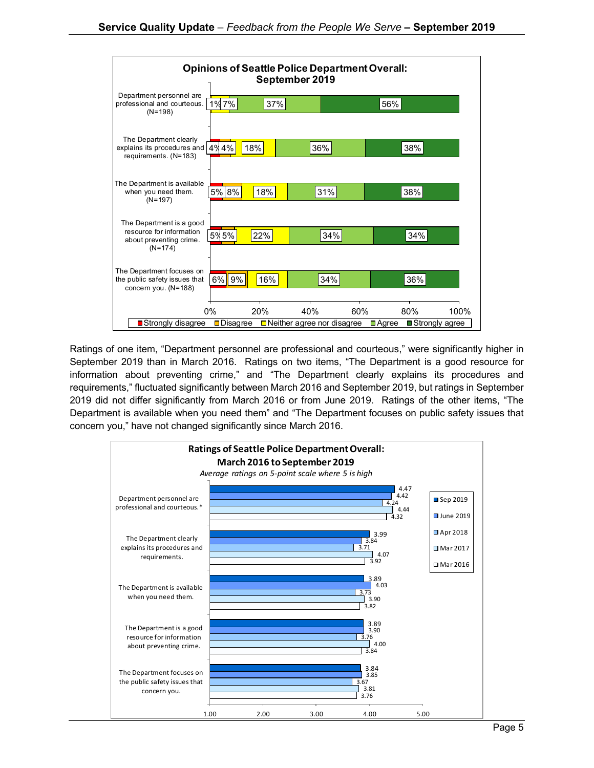

Ratings of one item, "Department personnel are professional and courteous," were significantly higher in September 2019 than in March 2016. Ratings on two items, "The Department is a good resource for information about preventing crime," and "The Department clearly explains its procedures and requirements," fluctuated significantly between March 2016 and September 2019, but ratings in September 2019 did not differ significantly from March 2016 or from June 2019. Ratings of the other items, "The Department is available when you need them" and "The Department focuses on public safety issues that concern you," have not changed significantly since March 2016.

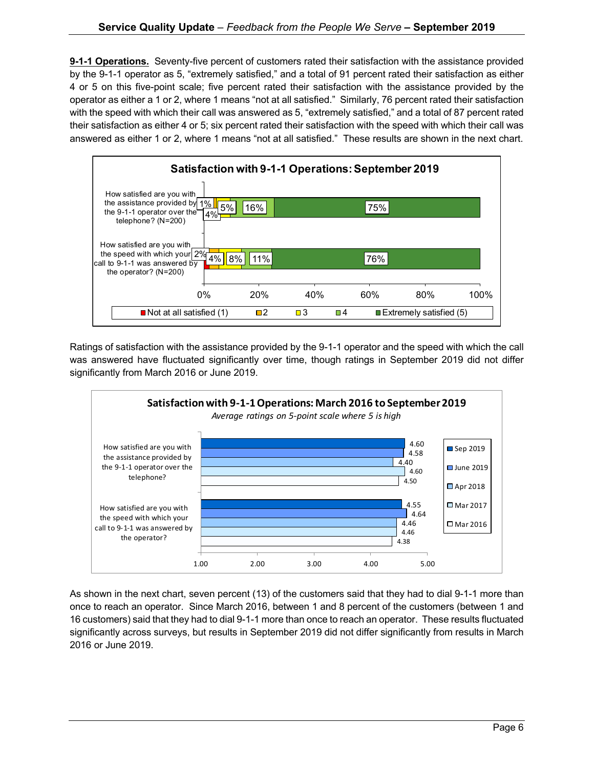**9-1-1 Operations.** Seventy-five percent of customers rated their satisfaction with the assistance provided by the 9-1-1 operator as 5, "extremely satisfied," and a total of 91 percent rated their satisfaction as either 4 or 5 on this five-point scale; five percent rated their satisfaction with the assistance provided by the operator as either a 1 or 2, where 1 means "not at all satisfied." Similarly, 76 percent rated their satisfaction with the speed with which their call was answered as 5, "extremely satisfied," and a total of 87 percent rated their satisfaction as either 4 or 5; six percent rated their satisfaction with the speed with which their call was answered as either 1 or 2, where 1 means "not at all satisfied." These results are shown in the next chart.



Ratings of satisfaction with the assistance provided by the 9-1-1 operator and the speed with which the call was answered have fluctuated significantly over time, though ratings in September 2019 did not differ significantly from March 2016 or June 2019.



As shown in the next chart, seven percent (13) of the customers said that they had to dial 9-1-1 more than once to reach an operator. Since March 2016, between 1 and 8 percent of the customers (between 1 and 16 customers) said that they had to dial 9-1-1 more than once to reach an operator. These results fluctuated significantly across surveys, but results in September 2019 did not differ significantly from results in March 2016 or June 2019.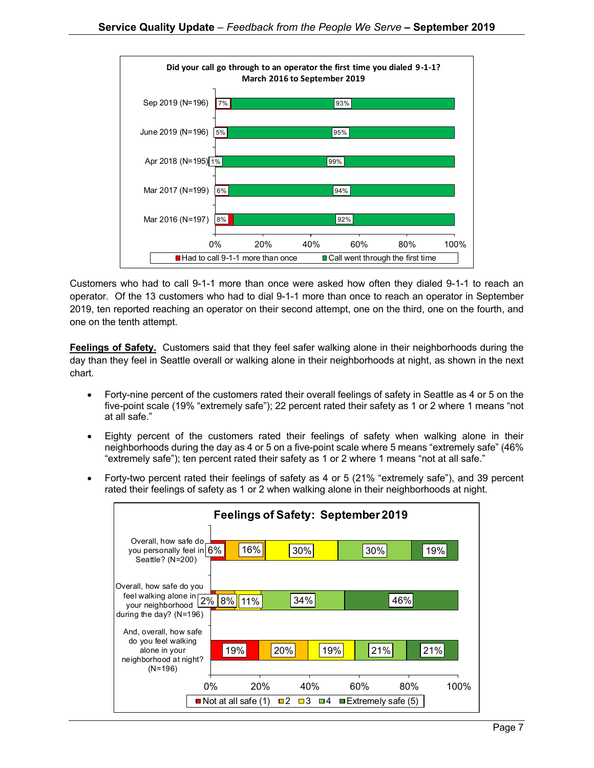

Customers who had to call 9-1-1 more than once were asked how often they dialed 9-1-1 to reach an operator. Of the 13 customers who had to dial 9-1-1 more than once to reach an operator in September 2019, ten reported reaching an operator on their second attempt, one on the third, one on the fourth, and one on the tenth attempt.

**Feelings of Safety.** Customers said that they feel safer walking alone in their neighborhoods during the day than they feel in Seattle overall or walking alone in their neighborhoods at night, as shown in the next chart.

- Forty-nine percent of the customers rated their overall feelings of safety in Seattle as 4 or 5 on the five-point scale (19% "extremely safe"); 22 percent rated their safety as 1 or 2 where 1 means "not at all safe."
- Eighty percent of the customers rated their feelings of safety when walking alone in their neighborhoods during the day as 4 or 5 on a five-point scale where 5 means "extremely safe" (46% "extremely safe"); ten percent rated their safety as 1 or 2 where 1 means "not at all safe."
- Forty-two percent rated their feelings of safety as 4 or 5 (21% "extremely safe"), and 39 percent rated their feelings of safety as 1 or 2 when walking alone in their neighborhoods at night.

| Feelings of Safety: September 2019                                                                     |                                             |                           |                       |                                          |             |
|--------------------------------------------------------------------------------------------------------|---------------------------------------------|---------------------------|-----------------------|------------------------------------------|-------------|
| Overall, how safe do<br>you personally feel in $6\%$<br>Seattle? (N=200)                               |                                             | 16%                       | 30%                   | 30%                                      | 19%         |
| Overall, how safe do you<br>feel walking alone in 2%<br>your neighborhood<br>during the day? $(N=196)$ | 8% 11%                                      |                           | 34%                   | 46%                                      |             |
| And, overall, how safe<br>do you feel walking<br>alone in your<br>neighborhood at night?<br>$(N=196)$  | 19%                                         | 20%                       | 19%                   | 21%                                      | 21%         |
|                                                                                                        | $0\%$<br>$\blacksquare$ Not at all safe (1) | <b>20%</b><br>$\square$ 2 | 40%<br>$\Box$ 3<br>□4 | 60%<br>$\blacksquare$ Extremely safe (5) | 80%<br>100% |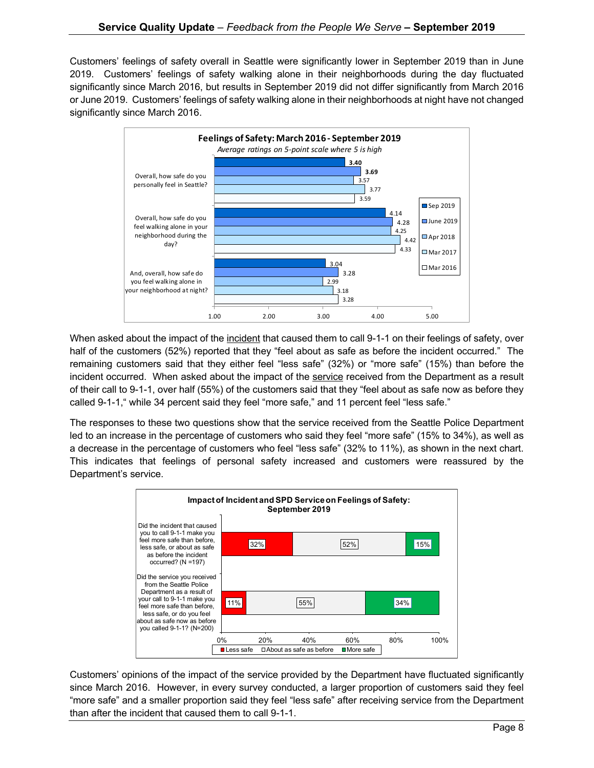Customers' feelings of safety overall in Seattle were significantly lower in September 2019 than in June 2019. Customers' feelings of safety walking alone in their neighborhoods during the day fluctuated significantly since March 2016, but results in September 2019 did not differ significantly from March 2016 or June 2019. Customers' feelings of safety walking alone in their neighborhoods at night have not changed significantly since March 2016.



When asked about the impact of the incident that caused them to call 9-1-1 on their feelings of safety, over half of the customers (52%) reported that they "feel about as safe as before the incident occurred." The remaining customers said that they either feel "less safe" (32%) or "more safe" (15%) than before the incident occurred. When asked about the impact of the service received from the Department as a result of their call to 9-1-1, over half (55%) of the customers said that they "feel about as safe now as before they called 9-1-1," while 34 percent said they feel "more safe," and 11 percent feel "less safe."

The responses to these two questions show that the service received from the Seattle Police Department led to an increase in the percentage of customers who said they feel "more safe" (15% to 34%), as well as a decrease in the percentage of customers who feel "less safe" (32% to 11%), as shown in the next chart. This indicates that feelings of personal safety increased and customers were reassured by the Department's service.



Customers' opinions of the impact of the service provided by the Department have fluctuated significantly since March 2016. However, in every survey conducted, a larger proportion of customers said they feel "more safe" and a smaller proportion said they feel "less safe" after receiving service from the Department than after the incident that caused them to call 9-1-1.